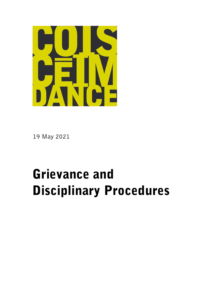

19 May 2021

# Grievance and Disciplinary Procedures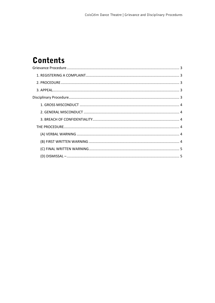# **Contents**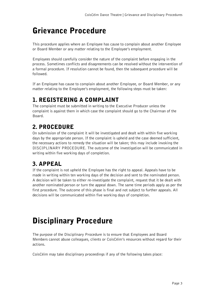# <span id="page-2-0"></span>Grievance Procedure

This procedure applies where an Employee has cause to complain about another Employee or Board Member or any matter relating to the Employee's employment.

Employees should carefully consider the nature of the complaint before engaging in the process. Sometimes conflicts and disagreements can be resolved without the intervention of a formal procedure. If resolution cannot be found, then the subsequent procedure will be followed.

If an Employee has cause to complain about another Employee, or Board Member, or any matter relating to the Employee's employment, the following steps must be taken:

### <span id="page-2-1"></span>1. REGISTERING A COMPLAINT

The complaint must be submitted in writing to the Executive Producer unless the complaint is against them in which case the complaint should go to the Chairman of the Board.

### <span id="page-2-2"></span>2. PROCEDURE

On submission of the complaint it will be investigated and dealt with within five working days by the appropriate person. If the complaint is upheld and the case deemed sufficient, the necessary actions to remedy the situation will be taken; this may include invoking the DISCIPLINARY PROCEDURE. The outcome of the investigation will be communicated in writing within five working days of completion.

## <span id="page-2-3"></span>3. APPEAL

If the complaint is not upheld the Employee has the right to appeal. Appeals have to be made in writing within ten working days of the decision and sent to the nominated person. A decision will be taken to either re-investigate the complaint, request that it be dealt with another nominated person or turn the appeal down. The same time periods apply as per the first procedure. The outcome of this phase is final and not subject to further appeals. All decisions will be communicated within five working days of completion.

# <span id="page-2-4"></span>Disciplinary Procedure

The purpose of the Disciplinary Procedure is to ensure that Employees and Board Members cannot abuse colleagues, clients or CoisCéim's resources without regard for their actions.

CoisCéim may take disciplinary proceedings if any of the following takes place: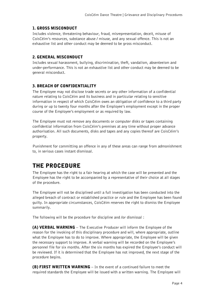#### <span id="page-3-0"></span>1. GROSS MISCONDUCT

Includes violence, threatening behaviour, fraud, misrepresentation, deceit, misuse of CoisCéim's resources, substance abuse / misuse, and any sexual offence. This is not an exhaustive list and other conduct may be deemed to be gross misconduct.

#### <span id="page-3-1"></span>2. GENERAL MISCONDUCT

Includes sexual harassment, bullying, discrimination, theft, vandalism, absenteeism and under-performance. This is not an exhaustive list and other conduct may be deemed to be general misconduct.

#### <span id="page-3-2"></span>3. BREACH OF CONFIDENTIALITY

The Employee may not disclose trade secrets or any other information of a confidential nature relating to CoisCéim and its business and in particular relating to sensitive information in respect of which CoisCéim owes an obligation of confidence to a third party during or up to twenty four months after the Employee's employment except in the proper course of the Employee's employment or as required by law.

The Employee must not remove any documents or computer disks or tapes containing confidential information from CoisCéim's premises at any time without proper advance authorisation. All such documents, disks and tapes and any copies thereof are CoisCéim's property.

Punishment for committing an offence in any of these areas can range from admonishment to, in serious cases instant dismissal.

### <span id="page-3-3"></span>THE PROCEDURE

The Employee has the right to a fair hearing at which the case will be presented and the Employee has the right to be accompanied by a representative of their choice at all stages of the procedure.

The Employee will not be disciplined until a full investigation has been conducted into the alleged breach of contract or established practice or rule and the Employee has been found guilty. In appropriate circumstances, CoisCéim reserves the right to dismiss the Employee summarily.

The following will be the procedure for discipline and /or dismissal :

<span id="page-3-4"></span>(A) VERBAL WARNING – The Executive Producer will inform the Employee of the reason for the invoking of this disciplinary procedure and will, where appropriate, outline what the Employee has to do to improve. Where appropriate, the Employee will be given the necessary support to improve. A verbal warning will be recorded on the Employee's personnel file for six months. After the six months has expired the Employee's conduct will be reviewed. If it is determined that the Employee has not improved, the next stage of the procedure begins.

<span id="page-3-5"></span>(B) FIRST WRITTEN WARNING – In the event of a continued failure to meet the required standards the Employee will be issued with a written warning. The Employee will